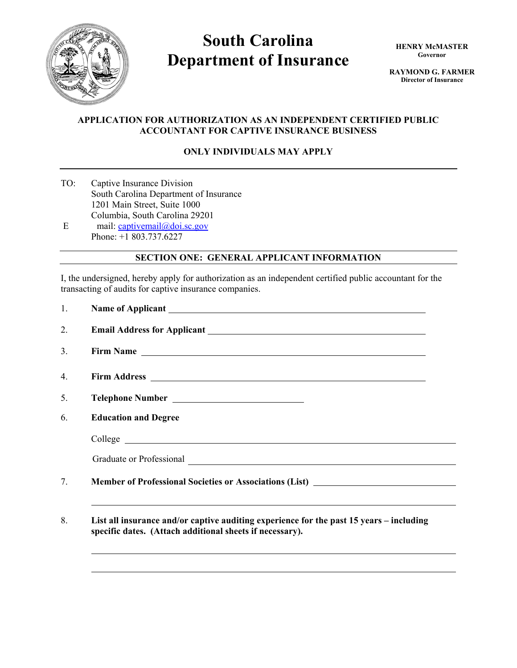

# **South Carolina Department of Insurance**

**HENRY McMASTER Governor** 

**RAYMOND G. FARMER Director of Insurance**

## **APPLICATION FOR AUTHORIZATION AS AN INDEPENDENT CERTIFIED PUBLIC ACCOUNTANT FOR CAPTIVE INSURANCE BUSINESS**

## **ONLY INDIVIDUALS MAY APPLY**

TO: Captive Insurance Division South Carolina Department of Insurance 1201 Main Street, Suite 1000 Columbia, South Carolina 29201 E mail:  $\frac{captivemail@doi.sc.gov}{c}$ 

Phone: +1 803.737.6227

## **SECTION ONE: GENERAL APPLICANT INFORMATION**

I, the undersigned, hereby apply for authorization as an independent certified public accountant for the transacting of audits for captive insurance companies.

| 1.             |                                                                                                                                                     |  |  |  |  |
|----------------|-----------------------------------------------------------------------------------------------------------------------------------------------------|--|--|--|--|
| 2.             |                                                                                                                                                     |  |  |  |  |
| 3.             |                                                                                                                                                     |  |  |  |  |
| $\mathbf{4}$ . |                                                                                                                                                     |  |  |  |  |
| 5.             | Telephone Number                                                                                                                                    |  |  |  |  |
| 6.             | <b>Education and Degree</b>                                                                                                                         |  |  |  |  |
|                |                                                                                                                                                     |  |  |  |  |
|                |                                                                                                                                                     |  |  |  |  |
| 7.             | Member of Professional Societies or Associations (List) _________________________                                                                   |  |  |  |  |
| 8.             | List all insurance and/or captive auditing experience for the past 15 years – including<br>specific dates. (Attach additional sheets if necessary). |  |  |  |  |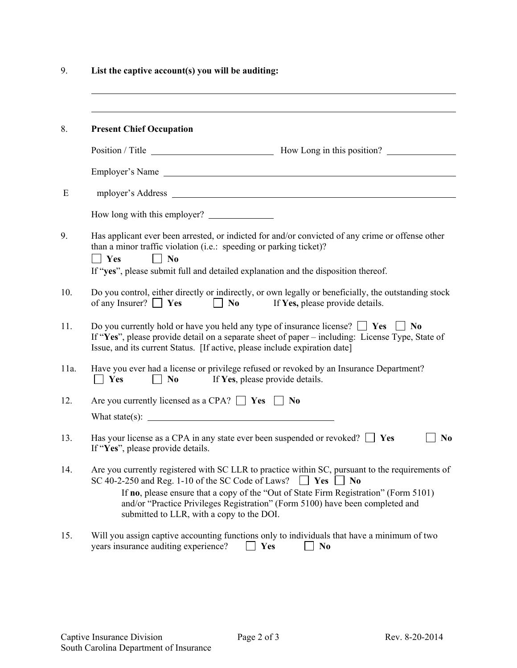9. **List the captive account(s) you will be auditing:**

| 8.   | <b>Present Chief Occupation</b>                                                                                                                                                                                                                                                                                                                                                                        |  |  |  |
|------|--------------------------------------------------------------------------------------------------------------------------------------------------------------------------------------------------------------------------------------------------------------------------------------------------------------------------------------------------------------------------------------------------------|--|--|--|
|      |                                                                                                                                                                                                                                                                                                                                                                                                        |  |  |  |
|      | Employer's Name                                                                                                                                                                                                                                                                                                                                                                                        |  |  |  |
| E    |                                                                                                                                                                                                                                                                                                                                                                                                        |  |  |  |
|      | How long with this employer?                                                                                                                                                                                                                                                                                                                                                                           |  |  |  |
| 9.   | Has applicant ever been arrested, or indicted for and/or convicted of any crime or offense other<br>than a minor traffic violation (i.e.: speeding or parking ticket)?<br>$\blacksquare$ Yes<br>$\Box$ No<br>If "yes", please submit full and detailed explanation and the disposition thereof.                                                                                                        |  |  |  |
| 10.  | Do you control, either directly or indirectly, or own legally or beneficially, the outstanding stock<br>of any Insurer? $\Box$ Yes<br>$\blacksquare$ No<br>If Yes, please provide details.                                                                                                                                                                                                             |  |  |  |
| 11.  | Do you currently hold or have you held any type of insurance license? $\Box$ Yes $\Box$ No<br>If "Yes", please provide detail on a separate sheet of paper – including: License Type, State of<br>Issue, and its current Status. [If active, please include expiration date]                                                                                                                           |  |  |  |
| 11a. | Have you ever had a license or privilege refused or revoked by an Insurance Department?<br>If Yes, please provide details.<br>$\Box$ Yes<br>$\vert$   No                                                                                                                                                                                                                                               |  |  |  |
| 12.  | Are you currently licensed as a CPA? $\Box$ Yes $\Box$ No                                                                                                                                                                                                                                                                                                                                              |  |  |  |
|      | What state(s): $\qquad \qquad$                                                                                                                                                                                                                                                                                                                                                                         |  |  |  |
| 13.  | Has your license as a CPA in any state ever been suspended or revoked? $\Box$ Yes<br>N <sub>0</sub><br>If "Yes", please provide details.                                                                                                                                                                                                                                                               |  |  |  |
| 14.  | Are you currently registered with SC LLR to practice within SC, pursuant to the requirements of<br>SC 40-2-250 and Reg. 1-10 of the SC Code of Laws?<br>$\Box$ Yes<br>$\vert$ No<br>If no, please ensure that a copy of the "Out of State Firm Registration" (Form 5101)<br>and/or "Practice Privileges Registration" (Form 5100) have been completed and<br>submitted to LLR, with a copy to the DOI. |  |  |  |
| 15.  | Will you assign captive accounting functions only to individuals that have a minimum of two<br>years insurance auditing experience?<br>Yes<br>N <sub>0</sub>                                                                                                                                                                                                                                           |  |  |  |